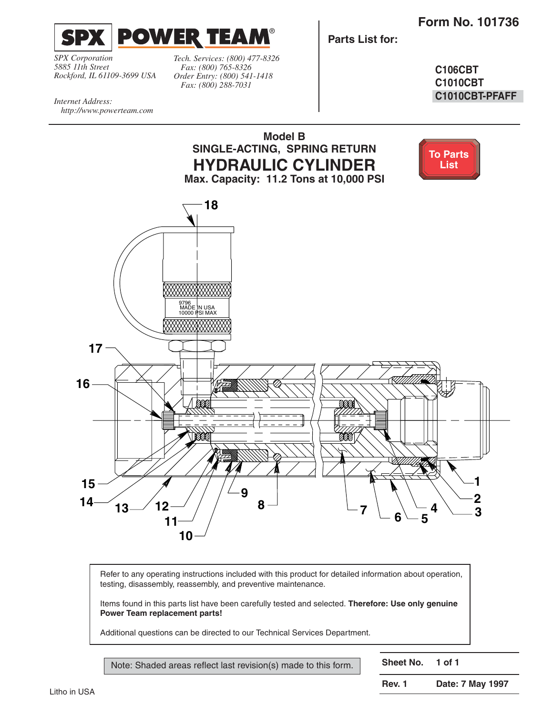**Form No. 101736** 

<span id="page-0-0"></span>

*SPX Corporation 5885 11th Street Rockford, IL 61109-3699 USA*

*http://www.powerteam.com*

*Internet Address:* 

*Tech. Services: (800) 477-8326 Fax: (800) 765-8326 Order Entry: (800) 541-1418 Fax: (800) 288-7031*

**Parts List for:**

**C106CBT C1010CBT C1010CBT-PFAFF**

**Model B SINGLE-ACTING, SPRING RETURN [To Parts](#page-1-0)  HYDRAULIC CYLINDER List Max. Capacity: 11.2 Tons at 10,000 PSI 18** 9796 MADE IN USA<br>10000 PSI MAX **17 16** BA ØÅ 000. 15  $\sqrt{4}$   $\sqrt{1/2}$   $\sqrt{2}$   $\sqrt{1/2}$  $\frac{14}{13}$   $\frac{12}{1}$   $\frac{1}{2}$ **2 12** 8  $-$  **7**  $-$  **6**  $-$  **5**  $4 \searrow 3$ **11 10**

Refer to any operating instructions included with this product for detailed information about operation, testing, disassembly, reassembly, and preventive maintenance.

Items found in this parts list have been carefully tested and selected. **Therefore: Use only genuine Power Team replacement parts!**

Additional questions can be directed to our Technical Services Department.

Note: Shaded areas reflect last revision(s) made to this form.

**Sheet No. 1 of 1**

**Rev. 1 Date: 7 May 1997**

Litho in USA